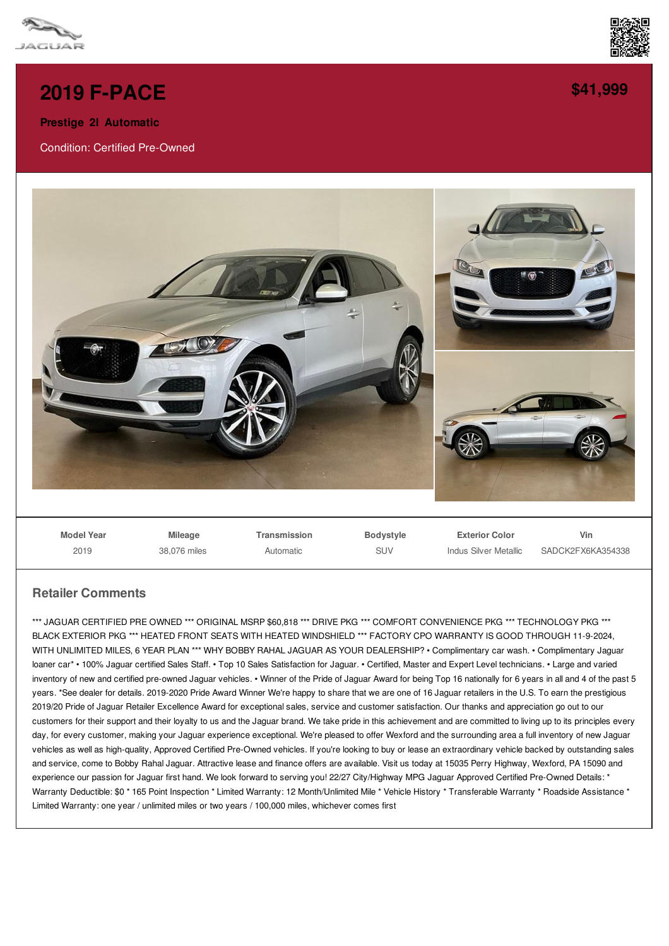



## **2019 [F-PACE](/used-certified/pdf/)**

**Prestige 2l Automatic**

Condition: Certified Pre-Owned



**Model Year** 2019

**Mileage** 38,076 miles **Transmission** Automatic

**Bodystyle** SLIV

**Exterior Color** Indus Silver Metallic

**Vin** SADCK2FX6KA354338

## **Retailer Comments**

\*\*\* JAGUAR CERTIFIED PRE OWNED \*\*\* ORIGINAL MSRP \$60,818 \*\*\* DRIVE PKG \*\*\* COMFORT CONVENIENCE PKG \*\*\* TECHNOLOGY PKG \*\*\* BLACK EXTERIOR PKG \*\*\* HEATED FRONT SEATS WITH HEATED WINDSHIELD \*\*\* FACTORY CPO WARRANTY IS GOOD THROUGH 11-9-2024, WITH UNLIMITED MILES, 6 YEAR PLAN \*\*\* WHY BOBBY RAHAL JAGUAR AS YOUR DEALERSHIP? • Complimentary car wash. • Complimentary Jaquar loaner car\* • 100% Jaguar certified Sales Staff. • Top 10 Sales Satisfaction for Jaguar. • Certified, Master and Expert Level technicians. • Large and varied inventory of new and certified pre-owned Jaguar vehicles. • Winner of the Pride of Jaguar Award for being Top 16 nationally for 6 years in all and 4 of the past 5 years. \*See dealer for details. 2019-2020 Pride Award Winner We're happy to share that we are one of 16 Jaguar retailers in the U.S. To earn the prestigious 2019/20 Pride of Jaguar Retailer Excellence Award for exceptional sales, service and customer satisfaction. Our thanks and appreciation go out to our customers for their support and their loyalty to us and the Jaguar brand. We take pride in this achievement and are committed to living up to its principles every day, for every customer, making your Jaguar experience exceptional. We're pleased to offer Wexford and the surrounding area a full inventory of new Jaguar vehicles as well as high-quality, Approved Certified Pre-Owned vehicles. If you're looking to buy or lease an extraordinary vehicle backed by outstanding sales and service, come to Bobby Rahal Jaguar. Attractive lease and finance offers are available. Visit us today at 15035 Perry Highway, Wexford, PA 15090 and experience our passion for Jaguar first hand. We look forward to serving you! 22/27 City/Highway MPG Jaguar Approved Certified Pre-Owned Details: \* Warranty Deductible: \$0 \* 165 Point Inspection \* Limited Warranty: 12 Month/Unlimited Mile \* Vehicle History \* Transferable Warranty \* Roadside Assistance \* Limited Warranty: one year / unlimited miles or two years / 100,000 miles, whichever comes first

**[\\$41,999](/used-certified/pdf/)**